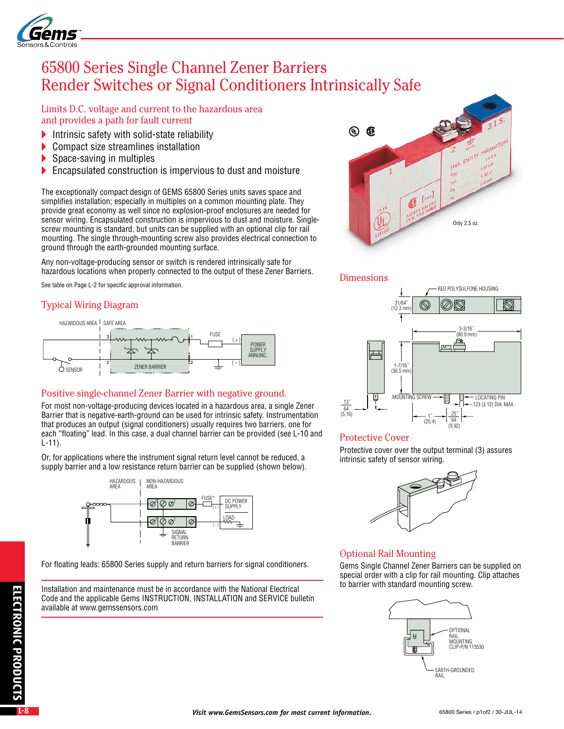

# 65800 Series Single Channel Zener Barriers Render Switches or Signal Conditioners Intrinsically Safe

Limits D.C. voltage and current to the hazardous area and provides a path for fault current

- Intrinsic safety with solid-state reliability
- ▶ Compact size streamlines installation
- Space-saving in multiples
- **Encapsulated construction is impervious to dust and moisture**

The exceptionally compact design of GEMS 65800 Series units saves space and simplifies installation; especially in multiples on a common mounting plate. They provide great economy as well since no explosion-proof enclosures are needed for sensor wiring. Encapsulated construction is impervious to dust and moisture. Singlescrew mounting is standard, but units can be supplied with an optional clip for rail mounting. The single through-mounting screw also provides electrical connection to ground through the earth-grounded mounting surface.

Any non-voltage-producing sensor or switch is rendered intrinsically safe for hazardous locations when properly connected to the output of these Zener Barriers.

See table on Page L-2 for specific approval information.

## Typical Wiring Diagram



## Positive single-channel Zener Barrier with negative ground.

For most non-voltage-producing devices located in a hazardous area, a single Zener Barrier that is negative-earth-ground can be used for intrinsic safety. Instrumentation that produces an output (signal conditioners) usually requires two barriers, one for each "floating" lead. In this case, a dual channel barrier can be provided (see L-10 and L-11).

Or, for applications where the instrument signal return level cannot be reduced, a supply barrier and a low resistance return barrier can be supplied (shown below).



For floating leads: 65800 Series supply and return barriers for signal conditioners.

Installation and maintenance must be in accordance with the National Electrical Code and the applicable Gems INSTRUCTION, INSTALLATION and SERVICE bulletin available at www.gemssensors.com



### Dimensions



### Protective Cover

Protective cover over the output terminal (3) assures intrinsic safety of sensor wiring.



## Optional Rail Mounting

Gems Single Channel Zener Barriers can be supplied on special order with a clip for rail mounting. Clip attaches to barrier with standard mounting screw.